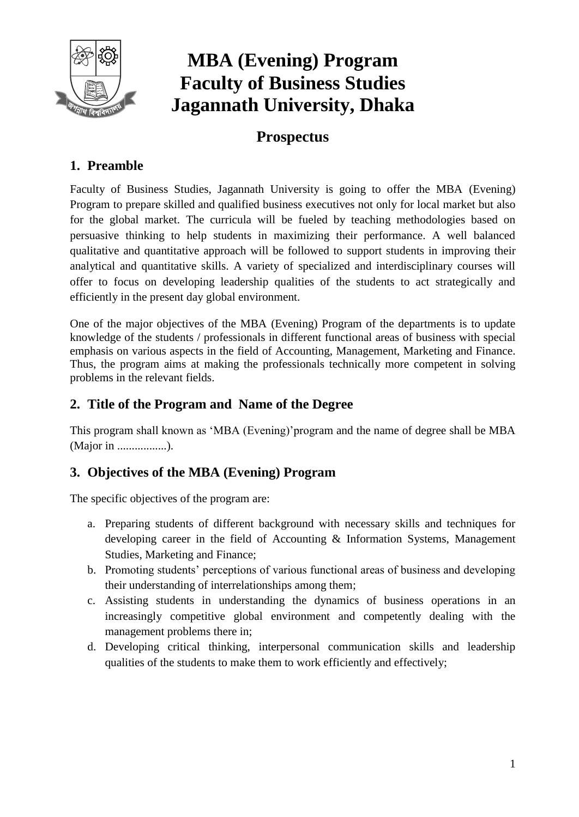

# **MBA (Evening) Program Faculty of Business Studies Jagannath University, Dhaka**

# **Prospectus**

# **1. Preamble**

Faculty of Business Studies, Jagannath University is going to offer the MBA (Evening) Program to prepare skilled and qualified business executives not only for local market but also for the global market. The curricula will be fueled by teaching methodologies based on persuasive thinking to help students in maximizing their performance. A well balanced qualitative and quantitative approach will be followed to support students in improving their analytical and quantitative skills. A variety of specialized and interdisciplinary courses will offer to focus on developing leadership qualities of the students to act strategically and efficiently in the present day global environment.

One of the major objectives of the MBA (Evening) Program of the departments is to update knowledge of the students / professionals in different functional areas of business with special emphasis on various aspects in the field of Accounting, Management, Marketing and Finance. Thus, the program aims at making the professionals technically more competent in solving problems in the relevant fields.

## **2. Title of the Program and Name of the Degree**

This program shall known as 'MBA (Evening)'program and the name of degree shall be MBA (Major in .......................).

# **3. Objectives of the MBA (Evening) Program**

The specific objectives of the program are:

- a. Preparing students of different background with necessary skills and techniques for developing career in the field of Accounting & Information Systems, Management Studies, Marketing and Finance;
- b. Promoting students' perceptions of various functional areas of business and developing their understanding of interrelationships among them;
- c. Assisting students in understanding the dynamics of business operations in an increasingly competitive global environment and competently dealing with the management problems there in;
- d. Developing critical thinking, interpersonal communication skills and leadership qualities of the students to make them to work efficiently and effectively;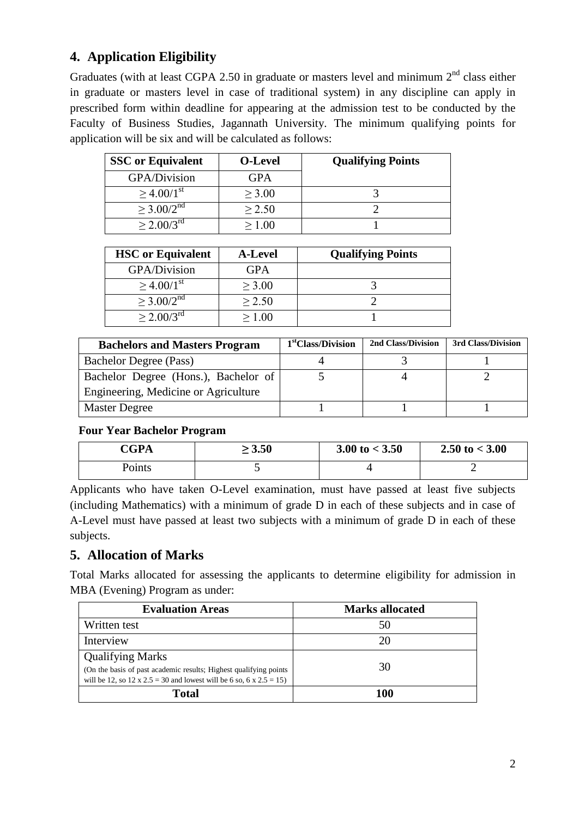# **4. Application Eligibility**

Graduates (with at least CGPA 2.50 in graduate or masters level and minimum  $2<sup>nd</sup>$  class either in graduate or masters level in case of traditional system) in any discipline can apply in prescribed form within deadline for appearing at the admission test to be conducted by the Faculty of Business Studies, Jagannath University. The minimum qualifying points for application will be six and will be calculated as follows:

| <b>SSC</b> or Equivalent    | <b>O-Level</b> | <b>Qualifying Points</b> |
|-----------------------------|----------------|--------------------------|
| GPA/Division                | GPA            |                          |
| $\geq 4.00/1$ <sup>st</sup> | > 3.00         |                          |
| $>$ 3.00/2 <sup>nd</sup>    | $\geq$ 2.50    |                          |
| $> 2.00/3^{\rm rd}$         | > 1 ()()       |                          |

| <b>HSC</b> or Equivalent | <b>A-Level</b> | <b>Qualifying Points</b> |
|--------------------------|----------------|--------------------------|
| <b>GPA/Division</b>      | <b>GPA</b>     |                          |
| $>$ 4.00/1 <sup>st</sup> | > 3.00         |                          |
| $>$ 3.00/2 <sup>nd</sup> | > 2.50         |                          |
| $> 2.00/3^{\text{rd}}$   | >1.00          |                          |

| <b>Bachelors and Masters Program</b> | 1 <sup>st</sup> Class/Division | 2nd Class/Division | 3rd Class/Division |
|--------------------------------------|--------------------------------|--------------------|--------------------|
| Bachelor Degree (Pass)               |                                |                    |                    |
| Bachelor Degree (Hons.), Bachelor of |                                |                    |                    |
| Engineering, Medicine or Agriculture |                                |                    |                    |
| <b>Master Degree</b>                 |                                |                    |                    |

#### **Four Year Bachelor Program**

| C <b>CPA</b>       | $\geq 3.50$ | 3.00 to $<$ 3.50 | 2.50 to $<$ 3.00 |
|--------------------|-------------|------------------|------------------|
| $P_{\text{oints}}$ |             |                  |                  |

Applicants who have taken O-Level examination, must have passed at least five subjects (including Mathematics) with a minimum of grade D in each of these subjects and in case of A-Level must have passed at least two subjects with a minimum of grade D in each of these subjects.

### **5. Allocation of Marks**

Total Marks allocated for assessing the applicants to determine eligibility for admission in MBA (Evening) Program as under:

| <b>Evaluation Areas</b>                                                                                                                                              | <b>Marks allocated</b> |
|----------------------------------------------------------------------------------------------------------------------------------------------------------------------|------------------------|
| Written test                                                                                                                                                         |                        |
| Interview                                                                                                                                                            |                        |
| <b>Qualifying Marks</b><br>(On the basis of past academic results; Highest qualifying points)<br>will be 12, so 12 x 2.5 = 30 and lowest will be 6 so, 6 x 2.5 = 15) | 30                     |
| Total                                                                                                                                                                | 100                    |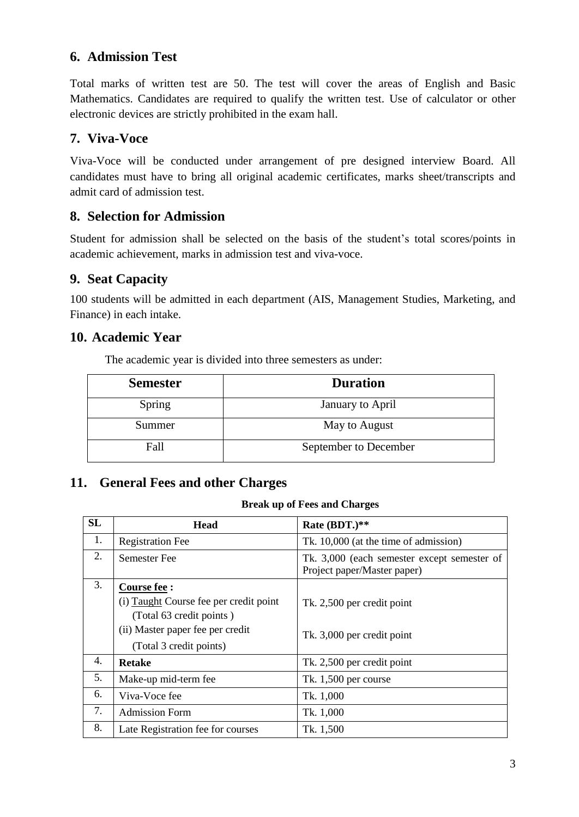### **6. Admission Test**

Total marks of written test are 50. The test will cover the areas of English and Basic Mathematics. Candidates are required to qualify the written test. Use of calculator or other electronic devices are strictly prohibited in the exam hall.

### **7. Viva-Voce**

Viva-Voce will be conducted under arrangement of pre designed interview Board. All candidates must have to bring all original academic certificates, marks sheet/transcripts and admit card of admission test.

#### **8. Selection for Admission**

Student for admission shall be selected on the basis of the student's total scores/points in academic achievement, marks in admission test and viva-voce.

### **9. Seat Capacity**

100 students will be admitted in each department (AIS, Management Studies, Marketing, and Finance) in each intake.

#### **10. Academic Year**

The academic year is divided into three semesters as under:

| <b>Semester</b> | <b>Duration</b>       |
|-----------------|-----------------------|
| Spring          | January to April      |
| Summer          | May to August         |
| Fall            | September to December |

## **11. General Fees and other Charges**

#### **Break up of Fees and Charges**

| <b>SL</b> | <b>Head</b>                                                                                                            | Rate (BDT.)**                                                              |
|-----------|------------------------------------------------------------------------------------------------------------------------|----------------------------------------------------------------------------|
| 1.        | <b>Registration Fee</b>                                                                                                | Tk. 10,000 (at the time of admission)                                      |
| 2.        | <b>Semester Fee</b>                                                                                                    | Tk. 3,000 (each semester except semester of<br>Project paper/Master paper) |
| 3.        | Course fee :<br>(i) Taught Course fee per credit point<br>(Total 63 credit points)<br>(ii) Master paper fee per credit | Tk. 2,500 per credit point                                                 |
|           | (Total 3 credit points)                                                                                                | Tk. 3,000 per credit point                                                 |
| 4.        | <b>Retake</b>                                                                                                          | Tk. 2,500 per credit point                                                 |
| 5.        | Make-up mid-term fee                                                                                                   | Tk. 1,500 per course                                                       |
| 6.        | Viva-Voce fee                                                                                                          | Tk. 1,000                                                                  |
| 7.        | <b>Admission Form</b>                                                                                                  | Tk. 1,000                                                                  |
| 8.        | Late Registration fee for courses                                                                                      | Tk. 1,500                                                                  |